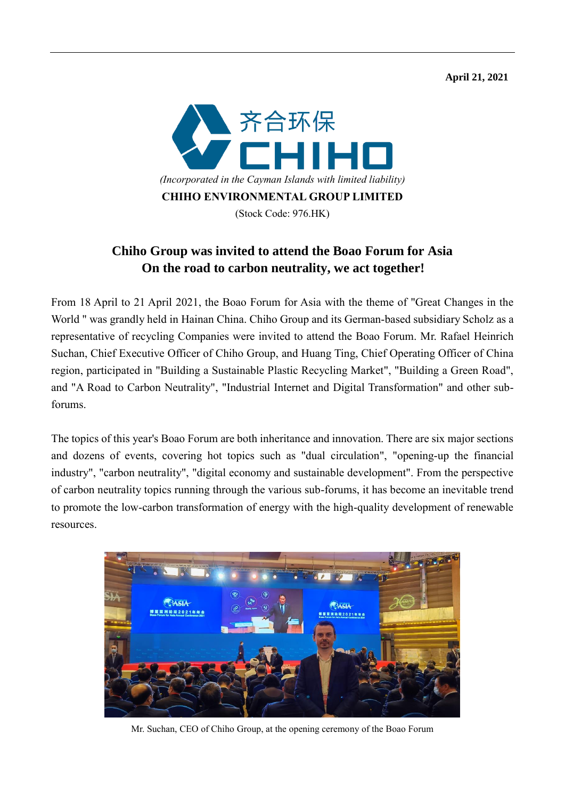**April 21, 2021** 



## **Chiho Group was invited to attend the Boao Forum for Asia On the road to carbon neutrality, we act together!**

From 18 April to 21 April 2021, the Boao Forum for Asia with the theme of "Great Changes in the World " was grandly held in Hainan China. Chiho Group and its German-based subsidiary Scholz as a representative of recycling Companies were invited to attend the Boao Forum. Mr. Rafael Heinrich Suchan, Chief Executive Officer of Chiho Group, and Huang Ting, Chief Operating Officer of China region, participated in "Building a Sustainable Plastic Recycling Market", "Building a Green Road", and "A Road to Carbon Neutrality", "Industrial Internet and Digital Transformation" and other subforums.

The topics of this year's Boao Forum are both inheritance and innovation. There are six major sections and dozens of events, covering hot topics such as "dual circulation", "opening-up the financial industry", "carbon neutrality", "digital economy and sustainable development". From the perspective of carbon neutrality topics running through the various sub-forums, it has become an inevitable trend to promote the low-carbon transformation of energy with the high-quality development of renewable resources.



Mr. Suchan, CEO of Chiho Group, at the opening ceremony of the Boao Forum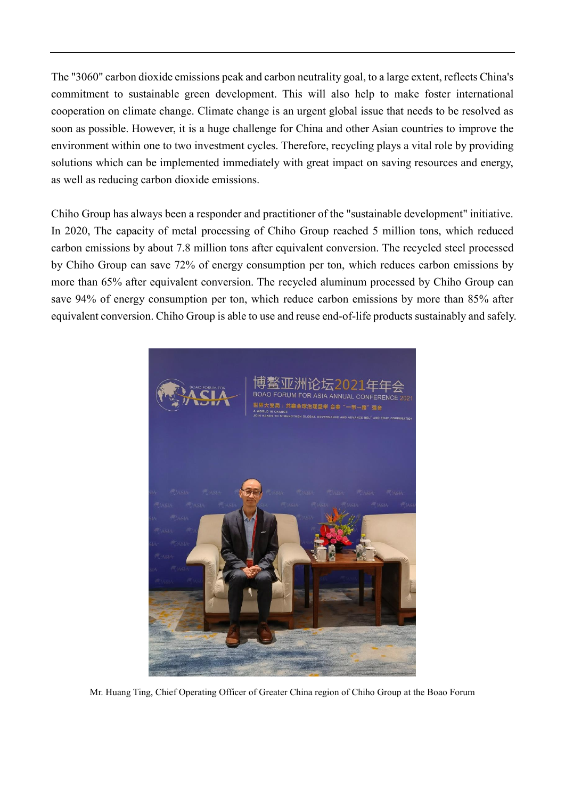The "3060" carbon dioxide emissions peak and carbon neutrality goal, to a large extent, reflects China's commitment to sustainable green development. This will also help to make foster international cooperation on climate change. Climate change is an urgent global issue that needs to be resolved as soon as possible. However, it is a huge challenge for China and other Asian countries to improve the environment within one to two investment cycles. Therefore, recycling plays a vital role by providing solutions which can be implemented immediately with great impact on saving resources and energy, as well as reducing carbon dioxide emissions.

Chiho Group has always been a responder and practitioner of the "sustainable development" initiative. In 2020, The capacity of metal processing of Chiho Group reached 5 million tons, which reduced carbon emissions by about 7.8 million tons after equivalent conversion. The recycled steel processed by Chiho Group can save 72% of energy consumption per ton, which reduces carbon emissions by more than 65% after equivalent conversion. The recycled aluminum processed by Chiho Group can save 94% of energy consumption per ton, which reduce carbon emissions by more than 85% after equivalent conversion. Chiho Group is able to use and reuse end-of-life products sustainably and safely.



Mr. Huang Ting, Chief Operating Officer of Greater China region of Chiho Group at the Boao Forum